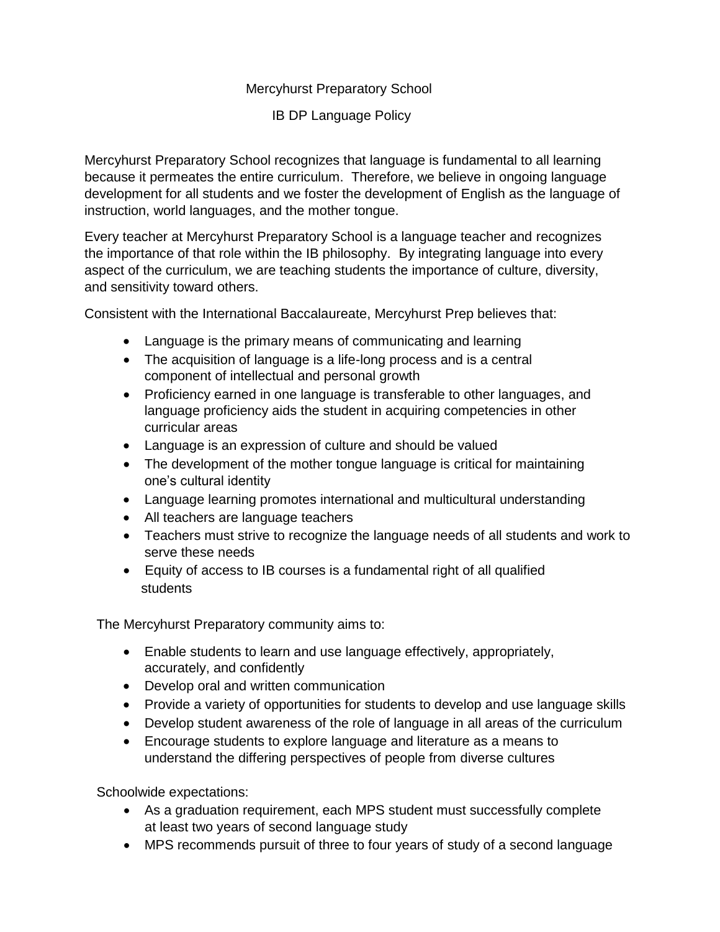## Mercyhurst Preparatory School

IB DP Language Policy

Mercyhurst Preparatory School recognizes that language is fundamental to all learning because it permeates the entire curriculum. Therefore, we believe in ongoing language development for all students and we foster the development of English as the language of instruction, world languages, and the mother tongue.

Every teacher at Mercyhurst Preparatory School is a language teacher and recognizes the importance of that role within the IB philosophy. By integrating language into every aspect of the curriculum, we are teaching students the importance of culture, diversity, and sensitivity toward others.

Consistent with the International Baccalaureate, Mercyhurst Prep believes that:

- Language is the primary means of communicating and learning
- The acquisition of language is a life-long process and is a central component of intellectual and personal growth
- Proficiency earned in one language is transferable to other languages, and language proficiency aids the student in acquiring competencies in other curricular areas
- Language is an expression of culture and should be valued
- The development of the mother tongue language is critical for maintaining one's cultural identity
- Language learning promotes international and multicultural understanding
- All teachers are language teachers
- Teachers must strive to recognize the language needs of all students and work to serve these needs
- Equity of access to IB courses is a fundamental right of all qualified students

The Mercyhurst Preparatory community aims to:

- Enable students to learn and use language effectively, appropriately, accurately, and confidently
- Develop oral and written communication
- Provide a variety of opportunities for students to develop and use language skills
- Develop student awareness of the role of language in all areas of the curriculum
- Encourage students to explore language and literature as a means to understand the differing perspectives of people from diverse cultures

Schoolwide expectations:

- As a graduation requirement, each MPS student must successfully complete at least two years of second language study
- MPS recommends pursuit of three to four years of study of a second language